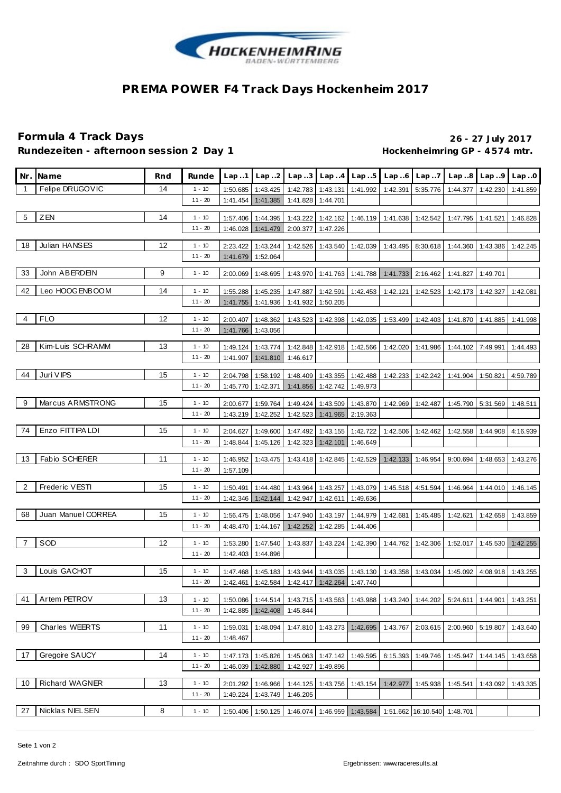

## **PREMA POWER F4 Track Days Hockenheim 2017**

## **Formula 4 Track Days 26 - 27 July 2017** Rundezeiten - afternoon session 2 Day 1 **https://web/2010/hockenheimring GP** - 4574 mtr.

| Nr.            | Na me                | Rnd | Runde                 | Lap.1                | Lap.2                | Lap.3                                                                    | Lap.4                      | Lap.5             | Lap.6                               | Lap.7             | Lap.8                                                           | Lap.9                      | Lap.0    |
|----------------|----------------------|-----|-----------------------|----------------------|----------------------|--------------------------------------------------------------------------|----------------------------|-------------------|-------------------------------------|-------------------|-----------------------------------------------------------------|----------------------------|----------|
| $\overline{1}$ | Felipe DRUGOVIC      | 14  | $1 - 10$              | 1:50.685             | 1:43.425             | 1:42.783                                                                 | 1:43.131                   | 1:41.992          | 1:42.391                            | 5:35.776          | 1:44.377                                                        | 1:42.230                   | 1:41.859 |
|                |                      |     | $11 - 20$             | 1:41.454             | 1:41.385             | 1:41.828                                                                 | 1:44.701                   |                   |                                     |                   |                                                                 |                            |          |
| 5              | ZEN                  | 14  | $1 - 10$              | 1:57.406             | 1:44.395             | 1:43.222                                                                 | 1:42.162                   |                   | 1:46.119 1:41.638                   | 1:42.542          | 1:47.795                                                        | 1:41.521                   | 1:46.828 |
|                |                      |     | $11 - 20$             | 1:46.028             | 1:41.479             | 2:00.377                                                                 | 1:47.226                   |                   |                                     |                   |                                                                 |                            |          |
| 18             | Julian HANSES        | 12  | $1 - 10$              | 2:23.422             | 1:43.244             | 1:42.526                                                                 | 1:43.540                   | 1:42.039          | 1:43.495                            | 8:30.618          | 1:44.360                                                        | 1:43.386                   | 1:42.245 |
|                |                      |     | $11 - 20$             | 1:41.679             | 1:52.064             |                                                                          |                            |                   |                                     |                   |                                                                 |                            |          |
| 33             | John ABERDEIN        | 9   | $1 - 10$              | 2:00.069             | 1:48.695             | 1:43.970                                                                 | 1:41.763                   | 1:41.788          | 1:41.733                            | 2:16.462          | 1:41.827                                                        | 1:49.701                   |          |
| 42             | Leo HOOGENBOOM       | 14  | $1 - 10$              | 1:55.288             | 1:45.235             | 1:47.887                                                                 | 1:42.591                   | 1:42.453          | 1:42.121                            | 1:42.523          | 1:42.173                                                        | 1:42.327                   | 1:42.081 |
|                |                      |     | 11 - 20               | 1:41.755             | 1:41.936             | 1:41.932                                                                 | 1:50.205                   |                   |                                     |                   |                                                                 |                            |          |
| 4              | <b>FLO</b>           | 12  | $1 - 10$              | 2:00.407             | 1:48.362             | 1:43.523                                                                 | 1:42.398                   | 1:42.035          | 1:53.499                            | 1:42.403          | 1:41.870                                                        | 1:41.885                   | 1:41.998 |
|                |                      |     | $11 - 20$             | 1:41.766             | 1:43.056             |                                                                          |                            |                   |                                     |                   |                                                                 |                            |          |
|                |                      |     |                       |                      |                      |                                                                          |                            |                   |                                     |                   |                                                                 |                            |          |
| 28             | Kim-Luis SCHRAMM     | 13  | 1 - 10                | 1:49.124             | 1:43.774             | 1:42.848                                                                 | 1:42.918                   | 1:42.566          |                                     | 1:42.020 1:41.986 | 1:44.102                                                        | 7:49.991                   | 1:44.493 |
|                |                      |     | 11 - 20               | 1:41.907             | 1:41.810             | 1:46.617                                                                 |                            |                   |                                     |                   |                                                                 |                            |          |
| 44             | Juri V IPS           | 15  | $1 - 10$              | 2:04.798             | 1:58.192             | 1:48.409                                                                 | 1:43.355                   | 1:42.488          |                                     | 1:42.233 1:42.242 | 1:41.904                                                        | 1:50.821                   | 4:59.789 |
|                |                      |     | $11 - 20$             | 1:45.770             | 1:42.371             | 1:41.856                                                                 | 1:42.742                   | 1:49.973          |                                     |                   |                                                                 |                            |          |
| 9              | Marcus ARMSTRONG     | 15  |                       |                      |                      |                                                                          |                            |                   |                                     |                   |                                                                 |                            |          |
|                |                      |     | $1 - 10$<br>$11 - 20$ | 2:00.677<br>1:43.219 | 1:59.764<br>1:42.252 | 1:49.424                                                                 | 1:43.509<br>1:41.965       | 1:43.870          | 1:42.969                            | 1:42.487          | 1:45.790                                                        | 5:31.569                   | 1:48.511 |
|                |                      |     |                       |                      |                      | 1:42.523                                                                 |                            | 2:19.363          |                                     |                   |                                                                 |                            |          |
| 74             | Enzo FITTIPA LDI     | 15  | $1 - 10$              | 2:04.627             | 1:49.600             | 1:47.492                                                                 | 1:43.155                   | 1:42.722          | 1:42.506                            | 1:42.462          | 1:42.558                                                        | 1:44.908                   | 4:16.939 |
|                |                      |     | $11 - 20$             | 1:48.844             | 1:45.126             | 1:42.323                                                                 | 1:42.101                   | 1:46.649          |                                     |                   |                                                                 |                            |          |
| 13             | <b>Fabio SCHERER</b> | 11  | $1 - 10$              | 1:46.952             | 1:43.475             | 1:43.418                                                                 | 1:42.845                   | 1:42.529          | 1:42.133                            | 1:46.954          | 9:00.694                                                        | 1:48.653                   | 1:43.276 |
|                |                      |     | $11 - 20$             | 1:57.109             |                      |                                                                          |                            |                   |                                     |                   |                                                                 |                            |          |
|                |                      |     |                       |                      |                      |                                                                          |                            |                   |                                     |                   |                                                                 |                            |          |
| 2              | Frederic VESTI       | 15  | $1 - 10$              | 1:50.491             | 1:44.480             | 1:43.964                                                                 |                            | 1:43.257 1:43.079 |                                     | 1:45.518 4:51.594 | 1:46.964                                                        | 1:44.010                   | 1:46.145 |
|                |                      |     | $11 - 20$             | 1:42.346             | 1:42.144             | 1:42.947                                                                 | 1:42.611                   | 1:49.636          |                                     |                   |                                                                 |                            |          |
| 68             | Juan Manuel CORREA   | 15  | $1 - 10$              | 1:56.475             | 1:48.056             | 1:47.940                                                                 | 1:43.197                   | 1:44.979          | 1:42.681                            | 1:45.485          | 1:42.621                                                        | 1:42.658                   | 1:43.859 |
|                |                      |     | 11 - 20               | 4:48.470             | 1:44.167             | 1:42.252                                                                 | 1:42.285                   | 1:44.406          |                                     |                   |                                                                 |                            |          |
| 7              | SOD                  | 12  | $1 - 10$              | 1:53.280             | 1:47.540             | 1:43.837                                                                 | 1:43.224                   | 1:42.390          | 1:44.762                            | 1:42.306          | 1:52.017                                                        | 1:45.530                   | 1:42.255 |
|                |                      |     | $11 - 20$             | 1:42.403             | 1:44.896             |                                                                          |                            |                   |                                     |                   |                                                                 |                            |          |
|                |                      |     |                       |                      |                      |                                                                          |                            |                   |                                     |                   |                                                                 |                            |          |
| 3              | Louis GACHOT         | 15  | $1 - 10$              | 1:47.468             | 1:45.183             | 1:43.944                                                                 | 1:43.035                   | 1:43.130          | 1:43.358                            | 1:43.034          | 1:45.092                                                        | 4:08.918                   | 1:43.255 |
|                |                      |     | $11 - 20$             | 1:42.461             | 1:42.584             | 1:42.417                                                                 | $1:42.264$ 1:47.740        |                   |                                     |                   |                                                                 |                            |          |
| 41             | Artem PETROV         | 13  | $1 - 10$              | 1:50.086             | 1:44.514             |                                                                          |                            |                   |                                     |                   | 1:43.715   1:43.563   1:43.988   1:43.240   1:44.202   5:24.611 | 1:44.901                   | 1:43.251 |
|                |                      |     | $11 - 20$             |                      | 1:42.885 1:42.408    | 1:45.844                                                                 |                            |                   |                                     |                   |                                                                 |                            |          |
|                |                      |     |                       |                      |                      |                                                                          |                            |                   |                                     |                   |                                                                 |                            |          |
| 99             | Charles WEERTS       | 11  | $1 - 10$<br>$11 - 20$ | 1:59.031             | 1:48.094             |                                                                          | 1:47.810 1:43.273 1:42.695 |                   |                                     |                   | 1:43.767 2:03.615 2:00.960 5:19.807                             |                            | 1:43.640 |
|                |                      |     |                       | 1:48.467             |                      |                                                                          |                            |                   |                                     |                   |                                                                 |                            |          |
| 17             | Gregoire SAUCY       | 14  | $1 - 10$              | 1:47.173             | 1:45.826             | 1:45.063                                                                 |                            |                   | 1:47.142 1:49.595 6:15.393 1:49.746 |                   |                                                                 | 1:45.947 1:44.145 1:43.658 |          |
|                |                      |     | $11 - 20$             |                      | 1:46.039 1:42.880    | 1:42.927                                                                 | 1:49.896                   |                   |                                     |                   |                                                                 |                            |          |
| 10             | Richard WAGNER       | 13  | $1 - 10$              | 2:01.292             | 1:46.966             | 1:44.125                                                                 | 1:43.756                   | 1:43.154          | 1:42.977                            | 1:45.938          | 1:45.541                                                        | 1:43.092                   | 1:43.335 |
|                |                      |     | $11 - 20$             | 1:49.224             | 1:43.749             | 1:46.205                                                                 |                            |                   |                                     |                   |                                                                 |                            |          |
|                |                      |     |                       |                      |                      |                                                                          |                            |                   |                                     |                   |                                                                 |                            |          |
| 27             | Nicklas NIELSEN      | 8   | $1 - 10$              |                      |                      | 1:50.406 1:50.125 1:46.074 1:46.959 1:43.584 1:51.662 16:10.540 1:48.701 |                            |                   |                                     |                   |                                                                 |                            |          |